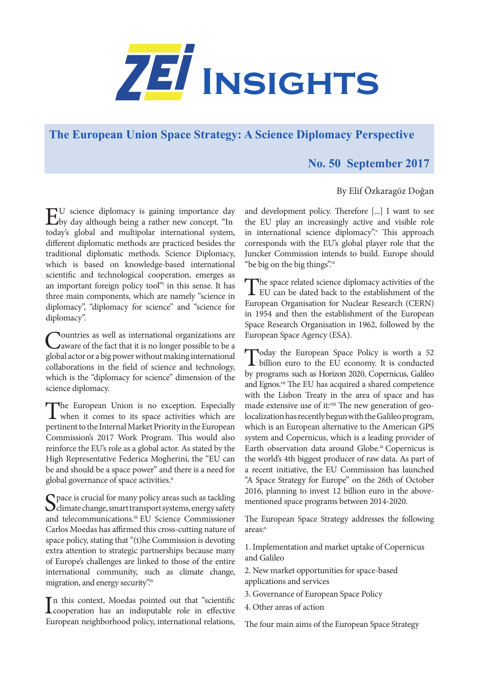

## **The European Union Space Strategy: A Science Diplomacy Perspective**

## **No. 50 September 2017**

## By Elif Özkaragöz Doğan

EU science diplomacy is gaining importance day by day although being a rather new concept. "In today's global and multipolar international system, different diplomatic methods are practiced besides the traditional diplomatic methods. Science Diplomacy, which is based on knowledge-based international scientific and technological cooperation, emerges as an important foreign policy tool" in this sense. It has three main components, which are namely "science in diplomacy", "diplomacy for science" and "science for diplomacy".

Countries as well as international organizations are aware of the fact that it is no longer possible to be a global actor or a big power without making international collaborations in the field of science and technology, which is the "diplomacy for science" dimension of the science diplomacy.

The European Union is no exception. Especially<br>when it comes to its space activities which are pertinent to the Internal Market Priority in the European Commission's 2017 Work Program. This would also reinforce the EU's role as a global actor. As stated by the High Representative Federica Mogherini, the "EU can be and should be a space power" and there is a need for global governance of space activities.<sup>ii</sup>

Space is crucial for many policy areas such as tackling<br>climate change, smart transport systems, energy safety and telecommunications.iii EU Science Commissioner Carlos Moedas has affirmed this cross-cutting nature of space policy, stating that "(t)he Commission is devoting extra attention to strategic partnerships because many of Europe's challenges are linked to those of the entire international community, such as climate change, migration, and energy security".

In this context, Moedas pointed out that "scientific<br>cooperation has an indisputable role in effective cooperation has an indisputable role in effective European neighborhood policy, international relations,

and development policy. Therefore [...] I want to see the EU play an increasingly active and visible role in international science diplomacy". This approach corresponds with the EU's global player role that the Juncker Commission intends to build. Europe should "be big on the big things".vi

The space related science diplomacy activities of the EU can be dated back to the establishment of the European Organisation for Nuclear Research (CERN) in 1954 and then the establishment of the European Space Research Organisation in 1962, followed by the European Space Agency (ESA).

Today the European Space Policy is worth a 52 billion euro to the EU economy. It is conducted by programs such as Horizon 2020, Copernicus, Galileo and Egnos.<sup>vii</sup> The EU has acquired a shared competence with the Lisbon Treaty in the area of space and has made extensive use of it:viii The new generation of geolocalization has recently begun with the Galileo program, which is an European alternative to the American GPS system and Copernicus, which is a leading provider of Earth observation data around Globe.ix Copernicus is the world's 4th biggest producer of raw data. As part of a recent initiative, the EU Commission has launched "A Space Strategy for Europe" on the 26th of October 2016, planning to invest 12 billion euro in the abovementioned space programs between 2014-2020.

The European Space Strategy addresses the following areas:<sup>x</sup>

1. Implementation and market uptake of Copernicus and Galileo

2. New market opportunities for space-based applications and services

- 3. Governance of European Space Policy
- 4. Other areas of action

The four main aims of the European Space Strategy